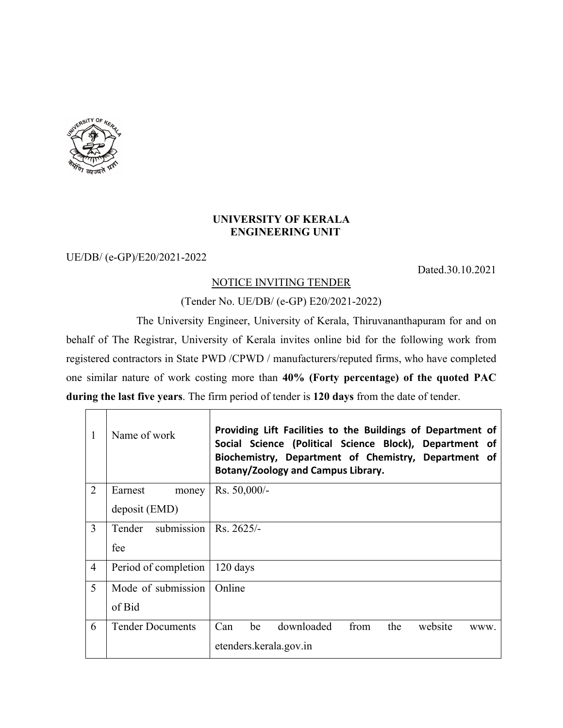

 $\Gamma$ 

## **UNIVERSITY OF KERALA ENGINEERING UNIT**

## UE/DB/ (e-GP)/E20/2021-2022

Dated.30.10.2021

## NOTICE INVITING TENDER

(Tender No. UE/DB/ (e-GP) E20/2021-2022)

The University Engineer, University of Kerala, Thiruvananthapuram for and on behalf of The Registrar, University of Kerala invites online bid for the following work from registered contractors in State PWD /CPWD / manufacturers/reputed firms, who have completed one similar nature of work costing more than **40% (Forty percentage) of the quoted PAC during the last five years**. The firm period of tender is **120 days** from the date of tender.

| 1              | Name of work            | Providing Lift Facilities to the Buildings of Department of<br>Social Science (Political Science Block), Department of<br>Biochemistry, Department of Chemistry, Department of<br>Botany/Zoology and Campus Library. |  |
|----------------|-------------------------|----------------------------------------------------------------------------------------------------------------------------------------------------------------------------------------------------------------------|--|
| $\overline{2}$ | Earnest<br>money        | Rs. 50,000/-                                                                                                                                                                                                         |  |
|                | deposit (EMD)           |                                                                                                                                                                                                                      |  |
| 3              | submission<br>Tender    | $Rs. 2625/-$                                                                                                                                                                                                         |  |
|                | fee                     |                                                                                                                                                                                                                      |  |
| $\overline{4}$ | Period of completion    | 120 days                                                                                                                                                                                                             |  |
| 5              | Mode of submission      | Online                                                                                                                                                                                                               |  |
|                | of Bid                  |                                                                                                                                                                                                                      |  |
| 6              | <b>Tender Documents</b> | downloaded<br>Can<br>be<br>the<br>from<br>website<br>WWW.                                                                                                                                                            |  |
|                |                         | etenders.kerala.gov.in                                                                                                                                                                                               |  |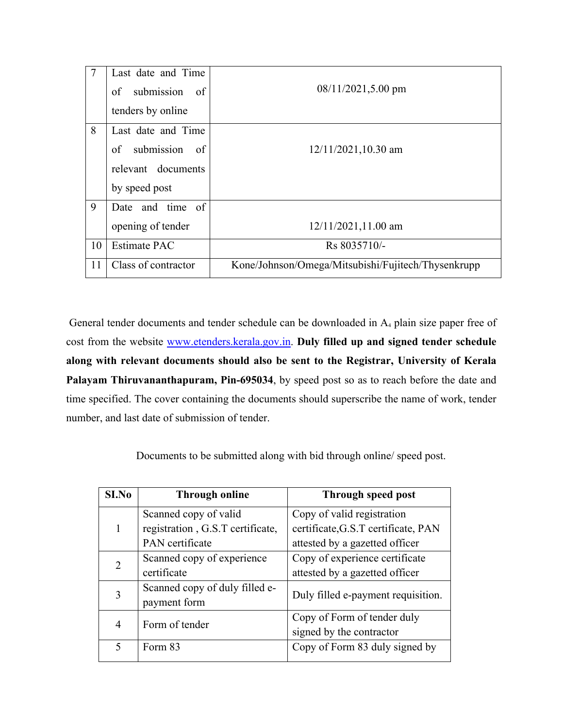| $\overline{7}$ | Last date and Time      |                                                    |  |
|----------------|-------------------------|----------------------------------------------------|--|
|                | submission of<br>of     | $08/11/2021, 5.00$ pm                              |  |
|                | tenders by online       |                                                    |  |
| 8              | Last date and Time      |                                                    |  |
|                | submission<br>of<br>-of | $12/11/2021, 10.30$ am                             |  |
|                | relevant documents      |                                                    |  |
|                | by speed post           |                                                    |  |
| 9              | Date and time of        |                                                    |  |
|                | opening of tender       | $12/11/2021, 11.00$ am                             |  |
| 10             | <b>Estimate PAC</b>     | Rs 8035710/-                                       |  |
| 11             | Class of contractor     | Kone/Johnson/Omega/Mitsubishi/Fujitech/Thysenkrupp |  |

General tender documents and tender schedule can be downloaded in A<sup>4</sup> plain size paper free of cost from the website www.etenders.kerala.gov.in. **Duly filled up and signed tender schedule along with relevant documents should also be sent to the Registrar, University of Kerala Palayam Thiruvananthapuram, Pin-695034**, by speed post so as to reach before the date and time specified. The cover containing the documents should superscribe the name of work, tender number, and last date of submission of tender.

Documents to be submitted along with bid through online/ speed post.

| SI.No | <b>Through online</b>            | Through speed post                  |  |
|-------|----------------------------------|-------------------------------------|--|
|       | Scanned copy of valid            | Copy of valid registration          |  |
|       | registration, G.S.T certificate, | certificate, G.S.T certificate, PAN |  |
|       | PAN certificate                  | attested by a gazetted officer      |  |
| 2     | Scanned copy of experience       | Copy of experience certificate      |  |
|       | certificate                      | attested by a gazetted officer      |  |
| 3     | Scanned copy of duly filled e-   | Duly filled e-payment requisition.  |  |
|       | payment form                     |                                     |  |
| 4     | Form of tender                   | Copy of Form of tender duly         |  |
|       |                                  | signed by the contractor            |  |
| 5     | Form 83                          | Copy of Form 83 duly signed by      |  |
|       |                                  |                                     |  |